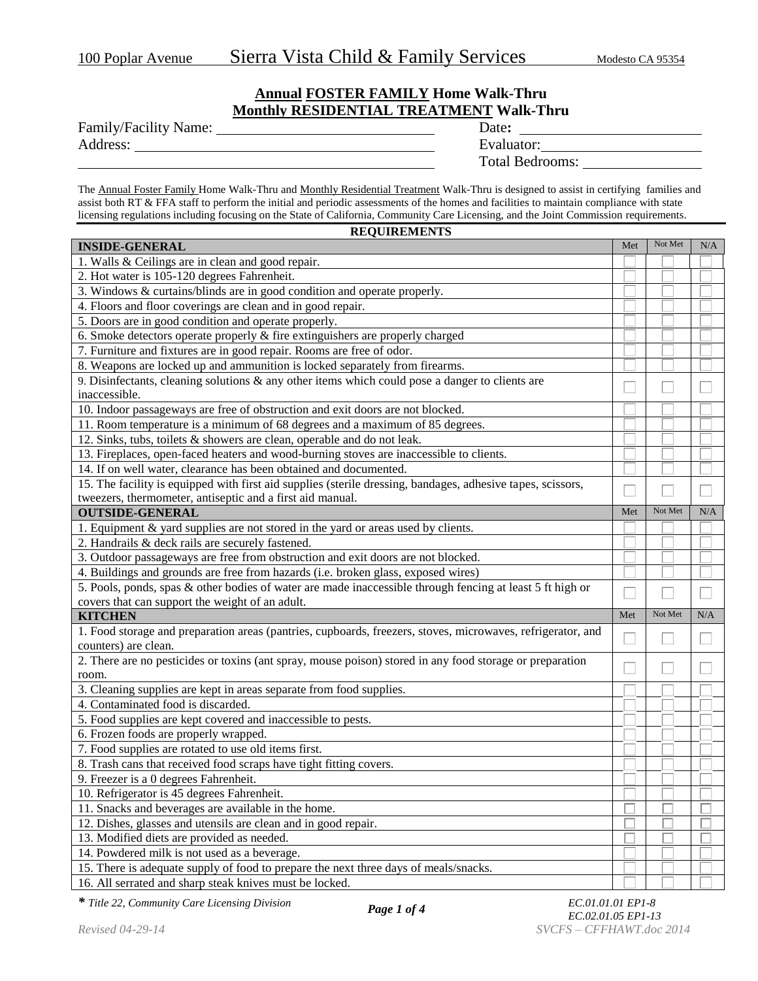## **Annual FOSTER FAMILY Home Walk-Thru Monthly RESIDENTIAL TREATMENT Walk-Thru**

| Family/Facility Name: | Date:      |
|-----------------------|------------|
| Address:              | Evaluator: |

| Date:                  |
|------------------------|
| Evaluator:             |
| <b>Total Bedrooms:</b> |
|                        |

The Annual Foster Family Home Walk-Thru and Monthly Residential Treatment Walk-Thru is designed to assist in certifying families and assist both RT & FFA staff to perform the initial and periodic assessments of the homes and facilities to maintain compliance with state licensing regulations including focusing on the State of California, Community Care Licensing, and the Joint Commission requirements.

| <b>REQUIREMENTS</b>                                                                                         |     |         |     |
|-------------------------------------------------------------------------------------------------------------|-----|---------|-----|
| <b>INSIDE-GENERAL</b>                                                                                       | Met | Not Met | N/A |
| 1. Walls & Ceilings are in clean and good repair.                                                           |     |         |     |
| 2. Hot water is 105-120 degrees Fahrenheit.                                                                 |     |         |     |
| 3. Windows & curtains/blinds are in good condition and operate properly.                                    |     |         |     |
| 4. Floors and floor coverings are clean and in good repair.                                                 |     |         |     |
| 5. Doors are in good condition and operate properly.                                                        |     |         |     |
| 6. Smoke detectors operate properly & fire extinguishers are properly charged                               |     |         |     |
| 7. Furniture and fixtures are in good repair. Rooms are free of odor.                                       |     |         |     |
| 8. Weapons are locked up and ammunition is locked separately from firearms.                                 |     |         |     |
| 9. Disinfectants, cleaning solutions $\&$ any other items which could pose a danger to clients are          |     |         |     |
| inaccessible.                                                                                               |     |         |     |
| 10. Indoor passageways are free of obstruction and exit doors are not blocked.                              |     |         |     |
| 11. Room temperature is a minimum of 68 degrees and a maximum of 85 degrees.                                |     |         |     |
| 12. Sinks, tubs, toilets & showers are clean, operable and do not leak.                                     |     |         |     |
| 13. Fireplaces, open-faced heaters and wood-burning stoves are inaccessible to clients.                     |     |         |     |
| 14. If on well water, clearance has been obtained and documented.                                           |     |         |     |
| 15. The facility is equipped with first aid supplies (sterile dressing, bandages, adhesive tapes, scissors, |     |         |     |
| tweezers, thermometer, antiseptic and a first aid manual.                                                   |     |         |     |
| <b>OUTSIDE-GENERAL</b>                                                                                      | Met | Not Met | N/A |
| 1. Equipment & yard supplies are not stored in the yard or areas used by clients.                           |     |         |     |
| 2. Handrails & deck rails are securely fastened.                                                            |     |         |     |
| 3. Outdoor passageways are free from obstruction and exit doors are not blocked.                            |     |         |     |
| 4. Buildings and grounds are free from hazards (i.e. broken glass, exposed wires)                           |     |         |     |
| 5. Pools, ponds, spas & other bodies of water are made inaccessible through fencing at least 5 ft high or   |     |         |     |
| covers that can support the weight of an adult.                                                             |     |         |     |
| <b>KITCHEN</b>                                                                                              | Met | Not Met | N/A |
| 1. Food storage and preparation areas (pantries, cupboards, freezers, stoves, microwaves, refrigerator, and |     |         |     |
| counters) are clean.                                                                                        |     |         |     |
| 2. There are no pesticides or toxins (ant spray, mouse poison) stored in any food storage or preparation    |     |         |     |
| room.                                                                                                       |     |         |     |
| 3. Cleaning supplies are kept in areas separate from food supplies.                                         |     |         |     |
| 4. Contaminated food is discarded.                                                                          |     |         |     |
| 5. Food supplies are kept covered and inaccessible to pests.                                                |     |         |     |
| 6. Frozen foods are properly wrapped.                                                                       |     |         |     |
| 7. Food supplies are rotated to use old items first.                                                        |     |         |     |
| 8. Trash cans that received food scraps have tight fitting covers.                                          |     |         |     |
| 9. Freezer is a 0 degrees Fahrenheit.                                                                       |     |         |     |
| 10. Refrigerator is 45 degrees Fahrenheit.                                                                  |     |         |     |
| 11. Snacks and beverages are available in the home.                                                         |     |         |     |
| 12. Dishes, glasses and utensils are clean and in good repair.                                              |     |         |     |
| 13. Modified diets are provided as needed.                                                                  |     |         |     |
| 14. Powdered milk is not used as a beverage.                                                                |     |         |     |
| 15. There is adequate supply of food to prepare the next three days of meals/snacks.                        |     |         |     |
| 16. All serrated and sharp steak knives must be locked.                                                     |     |         |     |

*\* Title 22, Community Care Licensing Division EC.01.01.01 EP1-8*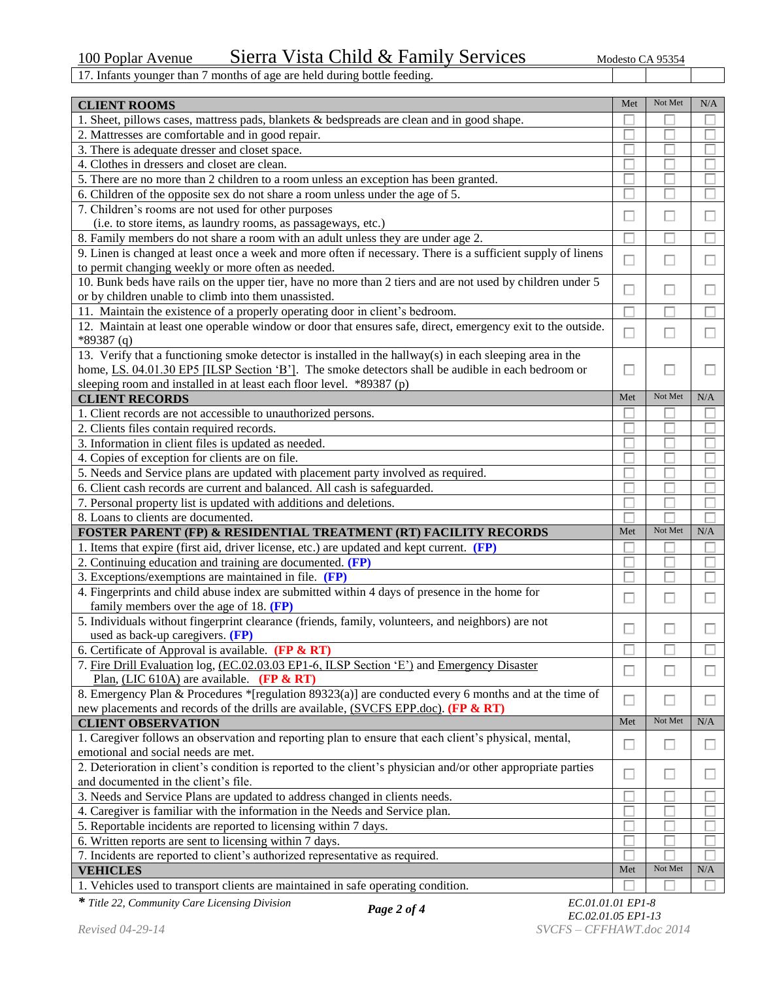17. Infants younger than 7 months of age are held during bottle feeding.

| <b>CLIENT ROOMS</b>                                                                                           | Met    | Not Met | N/A       |
|---------------------------------------------------------------------------------------------------------------|--------|---------|-----------|
| 1. Sheet, pillows cases, mattress pads, blankets & bedspreads are clean and in good shape.                    |        |         |           |
| 2. Mattresses are comfortable and in good repair.                                                             |        |         |           |
| 3. There is adequate dresser and closet space.                                                                |        |         |           |
| 4. Clothes in dressers and closet are clean.                                                                  |        |         |           |
| 5. There are no more than 2 children to a room unless an exception has been granted.                          |        |         |           |
| 6. Children of the opposite sex do not share a room unless under the age of 5.                                |        |         |           |
| 7. Children's rooms are not used for other purposes                                                           |        |         |           |
| (i.e. to store items, as laundry rooms, as passageways, etc.)                                                 | Ш      |         |           |
| 8. Family members do not share a room with an adult unless they are under age 2.                              |        |         |           |
| 9. Linen is changed at least once a week and more often if necessary. There is a sufficient supply of linens  |        |         |           |
| to permit changing weekly or more often as needed.                                                            | $\Box$ |         |           |
| 10. Bunk beds have rails on the upper tier, have no more than 2 tiers and are not used by children under 5    |        |         |           |
| or by children unable to climb into them unassisted.                                                          | $\Box$ |         | L         |
| 11. Maintain the existence of a properly operating door in client's bedroom.                                  |        |         |           |
| 12. Maintain at least one operable window or door that ensures safe, direct, emergency exit to the outside.   |        |         |           |
| $*89387(q)$                                                                                                   | П      | П       |           |
| 13. Verify that a functioning smoke detector is installed in the hallway(s) in each sleeping area in the      |        |         |           |
| home, LS. 04.01.30 EP5 [ILSP Section 'B']. The smoke detectors shall be audible in each bedroom or            | П      |         |           |
| sleeping room and installed in at least each floor level. *89387 (p)                                          |        |         |           |
| <b>CLIENT RECORDS</b>                                                                                         | Met    | Not Met | N/A       |
| 1. Client records are not accessible to unauthorized persons.                                                 |        |         |           |
| 2. Clients files contain required records.                                                                    |        |         |           |
| 3. Information in client files is updated as needed.                                                          |        |         |           |
| 4. Copies of exception for clients are on file.                                                               |        |         |           |
| 5. Needs and Service plans are updated with placement party involved as required.                             |        |         |           |
| 6. Client cash records are current and balanced. All cash is safeguarded.                                     |        |         |           |
| 7. Personal property list is updated with additions and deletions.                                            |        |         |           |
| 8. Loans to clients are documented.                                                                           |        |         |           |
| <b>FOSTER PARENT (FP) &amp; RESIDENTIAL TREATMENT (RT) FACILITY RECORDS</b>                                   | Met    | Not Met | N/A       |
| 1. Items that expire (first aid, driver license, etc.) are updated and kept current. (FP)                     |        |         |           |
| 2. Continuing education and training are documented. (FP)                                                     |        |         |           |
| 3. Exceptions/exemptions are maintained in file. (FP)                                                         |        |         |           |
| 4. Fingerprints and child abuse index are submitted within 4 days of presence in the home for                 |        |         |           |
| family members over the age of 18. $(FP)$                                                                     | н      |         |           |
| 5. Individuals without fingerprint clearance (friends, family, volunteers, and neighbors) are not             |        |         |           |
| used as back-up caregivers. (FP)                                                                              |        |         |           |
| 6. Certificate of Approval is available. (FP & RT)                                                            |        |         |           |
| 7. Fire Drill Evaluation log, (EC.02.03.03 EP1-6, ILSP Section 'E') and Emergency Disaster                    |        |         |           |
| Plan, (LIC 610A) are available. (FP $\&$ RT)                                                                  | $\Box$ |         |           |
| 8. Emergency Plan & Procedures *[regulation 89323(a)] are conducted every 6 months and at the time of         |        |         |           |
| new placements and records of the drills are available, (SVCFS EPP.doc). (FP & RT)                            | $\Box$ | □       | □         |
| <b>CLIENT OBSERVATION</b>                                                                                     | Met    | Not Met | $\rm N/A$ |
| 1. Caregiver follows an observation and reporting plan to ensure that each client's physical, mental,         |        |         |           |
| emotional and social needs are met.                                                                           | □      | □       | □         |
| 2. Deterioration in client's condition is reported to the client's physician and/or other appropriate parties | □      | П       | $\Box$    |
| and documented in the client's file.                                                                          |        |         |           |
| 3. Needs and Service Plans are updated to address changed in clients needs.                                   |        |         |           |
| 4. Caregiver is familiar with the information in the Needs and Service plan.                                  |        |         |           |
| 5. Reportable incidents are reported to licensing within 7 days.                                              |        |         |           |
| 6. Written reports are sent to licensing within 7 days.                                                       |        |         |           |
| 7. Incidents are reported to client's authorized representative as required.                                  |        |         |           |
| <b>VEHICLES</b>                                                                                               | Met    | Not Met | $\rm N/A$ |
| 1. Vehicles used to transport clients are maintained in safe operating condition.                             |        |         |           |

*\* Title 22, Community Care Licensing Division EC.01.01.01 EP1-8*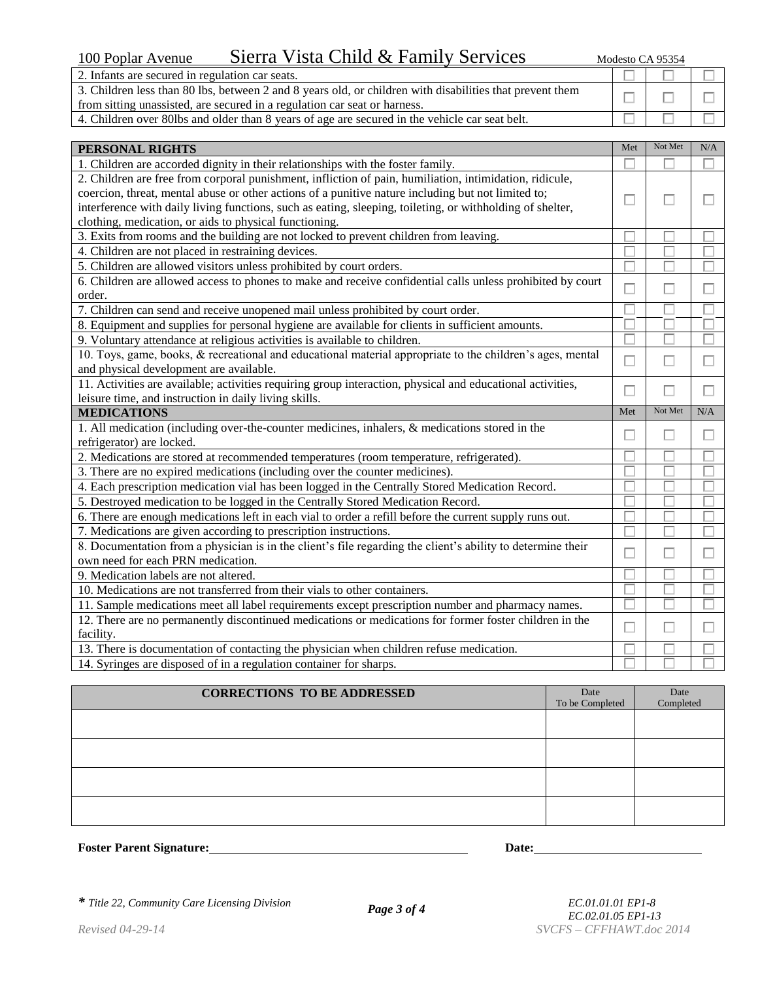| Sierra Vista Child & Family Services<br>100 Poplar Avenue                                                | Modesto CA 95354 |  |
|----------------------------------------------------------------------------------------------------------|------------------|--|
| 2. Infants are secured in regulation car seats.                                                          |                  |  |
| 3. Children less than 80 lbs, between 2 and 8 years old, or children with disabilities that prevent them |                  |  |
| from sitting unassisted, are secured in a regulation car seat or harness.                                |                  |  |

4. Children over 80lbs and older than 8 years of age are secured in the vehicle car seat belt.

| PERSONAL RIGHTS                                                                                            | Met | Not Met | N/A |
|------------------------------------------------------------------------------------------------------------|-----|---------|-----|
| 1. Children are accorded dignity in their relationships with the foster family.                            |     |         |     |
| 2. Children are free from corporal punishment, infliction of pain, humiliation, intimidation, ridicule,    |     |         |     |
| coercion, threat, mental abuse or other actions of a punitive nature including but not limited to;         |     |         |     |
| interference with daily living functions, such as eating, sleeping, toileting, or withholding of shelter,  |     |         |     |
| clothing, medication, or aids to physical functioning.                                                     |     |         |     |
| 3. Exits from rooms and the building are not locked to prevent children from leaving.                      |     |         |     |
| 4. Children are not placed in restraining devices.                                                         |     |         |     |
| 5. Children are allowed visitors unless prohibited by court orders.                                        |     |         |     |
| 6. Children are allowed access to phones to make and receive confidential calls unless prohibited by court |     |         |     |
| order.                                                                                                     |     |         |     |
| 7. Children can send and receive unopened mail unless prohibited by court order.                           |     |         |     |
| 8. Equipment and supplies for personal hygiene are available for clients in sufficient amounts.            |     |         |     |
| 9. Voluntary attendance at religious activities is available to children.                                  |     |         |     |
| 10. Toys, game, books, & recreational and educational material appropriate to the children's ages, mental  |     |         |     |
| and physical development are available.                                                                    |     |         |     |
| 11 Activities are evailable: estimities requiring group interaction, physical and educational estimities   |     |         |     |

| 11. Activities are available; activities requiring group interaction, physical and educational activities,  |     |         |     |
|-------------------------------------------------------------------------------------------------------------|-----|---------|-----|
| leisure time, and instruction in daily living skills.                                                       |     |         |     |
| <b>MEDICATIONS</b>                                                                                          | Met | Not Met | N/A |
| 1. All medication (including over-the-counter medicines, inhalers, & medications stored in the              |     |         |     |
| refrigerator) are locked.                                                                                   |     |         |     |
| 2. Medications are stored at recommended temperatures (room temperature, refrigerated).                     |     |         |     |
| 3. There are no expired medications (including over the counter medicines).                                 |     |         |     |
| 4. Each prescription medication vial has been logged in the Centrally Stored Medication Record.             |     |         |     |
| 5. Destroyed medication to be logged in the Centrally Stored Medication Record.                             |     |         |     |
| 6. There are enough medications left in each vial to order a refill before the current supply runs out.     |     |         |     |
| 7. Medications are given according to prescription instructions.                                            |     |         |     |
| 8. Documentation from a physician is in the client's file regarding the client's ability to determine their |     | L       |     |
| own need for each PRN medication.                                                                           |     |         |     |
| 9. Medication labels are not altered.                                                                       |     |         |     |
| 10. Medications are not transferred from their vials to other containers.                                   |     |         |     |
| 11. Sample medications meet all label requirements except prescription number and pharmacy names.           |     |         |     |
| 12. There are no permanently discontinued medications or medications for former foster children in the      |     |         |     |
| facility.                                                                                                   |     |         |     |

13. There is documentation of contacting the physician when children refuse medication. 14. Syringes are disposed of in a regulation container for sharps.

| <b>CORRECTIONS TO BE ADDRESSED</b> | Date<br>To be Completed | Date<br>Completed |
|------------------------------------|-------------------------|-------------------|
|                                    |                         |                   |
|                                    |                         |                   |
|                                    |                         |                   |
|                                    |                         |                   |

**Foster Parent Signature:** Date: Date: